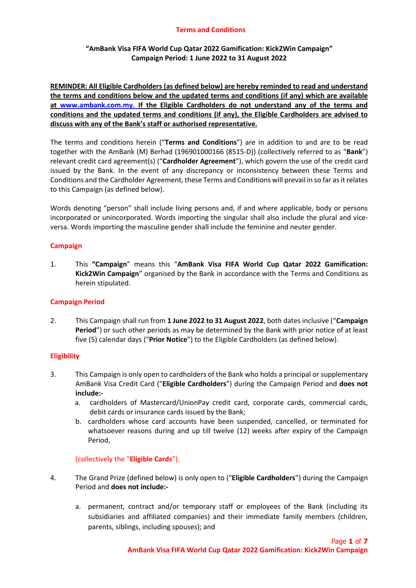# **"AmBank Visa FIFA World Cup Qatar 2022 Gamification: Kick2Win Campaign" Campaign Period: 1 June 2022 to 31 August 2022**

**REMINDER: All Eligible Cardholders (as defined below) are hereby reminded to read and understand the terms and conditions below and the updated terms and conditions (if any) which are available at [www.ambank.com.my.](http://www.ambank.com.my/) If the Eligible Cardholders do not understand any of the terms and conditions and the updated terms and conditions (if any), the Eligible Cardholders are advised to discuss with any of the Bank's staff or authorised representative.**

The terms and conditions herein ("**Terms and Conditions**") are in addition to and are to be read together with the AmBank (M) Berhad (196901000166 (8515-D)) (collectively referred to as "**Bank**") relevant credit card agreement(s) ("**Cardholder Agreement**"), which govern the use of the credit card issued by the Bank. In the event of any discrepancy or inconsistency between these Terms and Conditions and the Cardholder Agreement, these Terms and Conditions will prevail in so far as it relates to this Campaign (as defined below).

Words denoting "person" shall include living persons and, if and where applicable, body or persons incorporated or unincorporated. Words importing the singular shall also include the plural and viceversa. Words importing the masculine gender shall include the feminine and neuter gender.

## **Campaign**

1. This **"Campaign**" means this "**AmBank Visa FIFA World Cup Qatar 2022 Gamification: Kick2Win Campaign**" organised by the Bank in accordance with the Terms and Conditions as herein stipulated.

# **Campaign Period**

2. This Campaign shall run from **1 June 2022 to 31 August 2022**, both dates inclusive ("**Campaign Period**") or such other periods as may be determined by the Bank with prior notice of at least five (5) calendar days ("**Prior Notice**") to the Eligible Cardholders (as defined below).

# **Eligibility**

- 3. This Campaign is only open to cardholders of the Bank who holds a principal or supplementary AmBank Visa Credit Card ("**Eligible Cardholders**") during the Campaign Period and **does not include:**
	- a. cardholders of Mastercard/UnionPay credit card, corporate cards, commercial cards, debit cards or insurance cards issued by the Bank;
	- b. cardholders whose card accounts have been suspended, cancelled, or terminated for whatsoever reasons during and up till twelve (12) weeks after expiry of the Campaign Period,

# (collectively the "**Eligible Cards**").

- 4. The Grand Prize (defined below) is only open to ("**Eligible Cardholders**") during the Campaign Period and **does not include:**
	- a. permanent, contract and/or temporary staff or employees of the Bank (including its subsidiaries and affiliated companies) and their immediate family members (children, parents, siblings, including spouses); and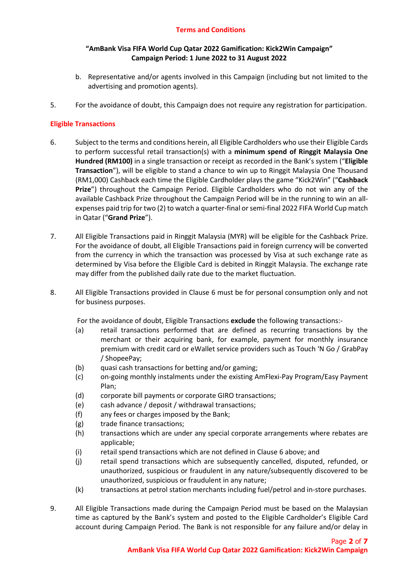## **"AmBank Visa FIFA World Cup Qatar 2022 Gamification: Kick2Win Campaign" Campaign Period: 1 June 2022 to 31 August 2022**

- b. Representative and/or agents involved in this Campaign (including but not limited to the advertising and promotion agents).
- 5. For the avoidance of doubt, this Campaign does not require any registration for participation.

## **Eligible Transactions**

- 6. Subject to the terms and conditions herein, all Eligible Cardholders who use their Eligible Cards to perform successful retail transaction(s) with a **minimum spend of Ringgit Malaysia One Hundred (RM100)** in a single transaction or receipt as recorded in the Bank's system ("**Eligible Transaction**"), will be eligible to stand a chance to win up to Ringgit Malaysia One Thousand (RM1,000) Cashback each time the Eligible Cardholder plays the game "Kick2Win" ("**Cashback Prize**") throughout the Campaign Period. Eligible Cardholders who do not win any of the available Cashback Prize throughout the Campaign Period will be in the running to win an allexpenses paid trip for two (2) to watch a quarter-final or semi-final 2022 FIFA World Cup match in Qatar ("**Grand Prize**").
- 7. All Eligible Transactions paid in Ringgit Malaysia (MYR) will be eligible for the Cashback Prize. For the avoidance of doubt, all Eligible Transactions paid in foreign currency will be converted from the currency in which the transaction was processed by Visa at such exchange rate as determined by Visa before the Eligible Card is debited in Ringgit Malaysia. The exchange rate may differ from the published daily rate due to the market fluctuation.
- 8. All Eligible Transactions provided in Clause 6 must be for personal consumption only and not for business purposes.

For the avoidance of doubt, Eligible Transactions **exclude** the following transactions:-

- (a) retail transactions performed that are defined as recurring transactions by the merchant or their acquiring bank, for example, payment for monthly insurance premium with credit card or eWallet service providers such as Touch 'N Go / GrabPay / ShopeePay;
- (b) quasi cash transactions for betting and/or gaming;
- (c) on-going monthly instalments under the existing AmFlexi-Pay Program/Easy Payment Plan;
- (d) corporate bill payments or corporate GIRO transactions;
- (e) cash advance / deposit / withdrawal transactions;
- (f) any fees or charges imposed by the Bank;
- (g) trade finance transactions;
- (h) transactions which are under any special corporate arrangements where rebates are applicable;
- (i) retail spend transactions which are not defined in Clause 6 above; and
- (j) retail spend transactions which are subsequently cancelled, disputed, refunded, or unauthorized, suspicious or fraudulent in any nature/subsequently discovered to be unauthorized, suspicious or fraudulent in any nature;
- (k) transactions at petrol station merchants including fuel/petrol and in-store purchases.
- 9. All Eligible Transactions made during the Campaign Period must be based on the Malaysian time as captured by the Bank's system and posted to the Eligible Cardholder's Eligible Card account during Campaign Period. The Bank is not responsible for any failure and/or delay in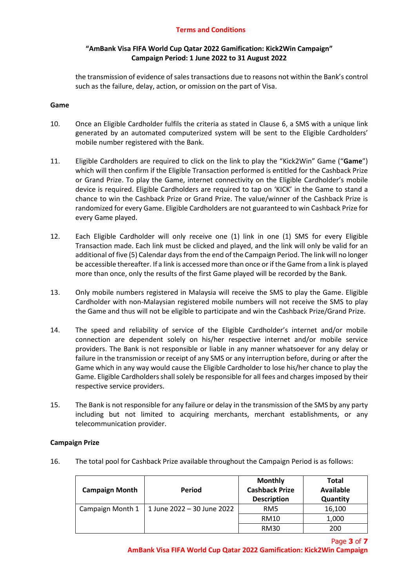## **"AmBank Visa FIFA World Cup Qatar 2022 Gamification: Kick2Win Campaign" Campaign Period: 1 June 2022 to 31 August 2022**

the transmission of evidence of sales transactions due to reasons not within the Bank's control such as the failure, delay, action, or omission on the part of Visa.

#### **Game**

- 10. Once an Eligible Cardholder fulfils the criteria as stated in Clause 6, a SMS with a unique link generated by an automated computerized system will be sent to the Eligible Cardholders' mobile number registered with the Bank.
- 11. Eligible Cardholders are required to click on the link to play the "Kick2Win" Game ("**Game**") which will then confirm if the Eligible Transaction performed is entitled for the Cashback Prize or Grand Prize. To play the Game, internet connectivity on the Eligible Cardholder's mobile device is required. Eligible Cardholders are required to tap on 'KICK' in the Game to stand a chance to win the Cashback Prize or Grand Prize. The value/winner of the Cashback Prize is randomized for every Game. Eligible Cardholders are not guaranteed to win Cashback Prize for every Game played.
- 12. Each Eligible Cardholder will only receive one (1) link in one (1) SMS for every Eligible Transaction made. Each link must be clicked and played, and the link will only be valid for an additional of five (5) Calendar days from the end of the Campaign Period. The link will no longer be accessible thereafter. If a link is accessed more than once or if the Game from a link is played more than once, only the results of the first Game played will be recorded by the Bank.
- 13. Only mobile numbers registered in Malaysia will receive the SMS to play the Game. Eligible Cardholder with non-Malaysian registered mobile numbers will not receive the SMS to play the Game and thus will not be eligible to participate and win the Cashback Prize/Grand Prize.
- 14. The speed and reliability of service of the Eligible Cardholder's internet and/or mobile connection are dependent solely on his/her respective internet and/or mobile service providers. The Bank is not responsible or liable in any manner whatsoever for any delay or failure in the transmission or receipt of any SMS or any interruption before, during or after the Game which in any way would cause the Eligible Cardholder to lose his/her chance to play the Game. Eligible Cardholders shall solely be responsible for all fees and charges imposed by their respective service providers.
- 15. The Bank is not responsible for any failure or delay in the transmission of the SMS by any party including but not limited to acquiring merchants, merchant establishments, or any telecommunication provider.

#### **Campaign Prize**

16. The total pool for Cashback Prize available throughout the Campaign Period is as follows:

| <b>Campaign Month</b> | Period                     | <b>Monthly</b><br><b>Cashback Prize</b><br><b>Description</b> | <b>Total</b><br><b>Available</b><br>Quantity |
|-----------------------|----------------------------|---------------------------------------------------------------|----------------------------------------------|
| Campaign Month 1      | 1 June 2022 - 30 June 2022 | RM <sub>5</sub>                                               | 16,100                                       |
|                       |                            | <b>RM10</b>                                                   | 1,000                                        |
|                       |                            | <b>RM30</b>                                                   | 200                                          |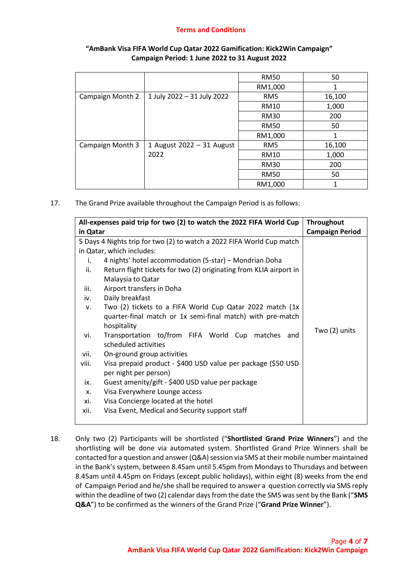|                  |                            | <b>RM50</b>     | 50     |
|------------------|----------------------------|-----------------|--------|
|                  |                            | RM1,000         | 1      |
| Campaign Month 2 | 1 July 2022 - 31 July 2022 | RM <sub>5</sub> | 16,100 |
|                  |                            | <b>RM10</b>     | 1,000  |
|                  |                            | <b>RM30</b>     | 200    |
|                  |                            | <b>RM50</b>     | 50     |
|                  |                            | RM1,000         | 1      |
| Campaign Month 3 | 1 August 2022 - 31 August  | RM <sub>5</sub> | 16,100 |
|                  | 2022                       | <b>RM10</b>     | 1,000  |
|                  |                            | <b>RM30</b>     | 200    |
|                  |                            | <b>RM50</b>     | 50     |
|                  |                            | RM1,000         | 1      |

## **"AmBank Visa FIFA World Cup Qatar 2022 Gamification: Kick2Win Campaign" Campaign Period: 1 June 2022 to 31 August 2022**

17. The Grand Prize available throughout the Campaign Period is as follows:

| All-expenses paid trip for two (2) to watch the 2022 FIFA World Cup   |                                                                    | <b>Throughout</b>      |
|-----------------------------------------------------------------------|--------------------------------------------------------------------|------------------------|
| in Qatar                                                              |                                                                    | <b>Campaign Period</b> |
| 5 Days 4 Nights trip for two (2) to watch a 2022 FIFA World Cup match |                                                                    |                        |
| in Qatar, which includes:                                             |                                                                    |                        |
| i.                                                                    | 4 nights' hotel accommodation (5-star) – Mondrian Doha             |                        |
| ii.                                                                   | Return flight tickets for two (2) originating from KLIA airport in |                        |
|                                                                       | Malaysia to Qatar                                                  |                        |
| iii.                                                                  | Airport transfers in Doha                                          |                        |
| iv.                                                                   | Daily breakfast                                                    |                        |
| v.                                                                    | Two (2) tickets to a FIFA World Cup Qatar 2022 match (1x           |                        |
|                                                                       | quarter-final match or 1x semi-final match) with pre-match         |                        |
|                                                                       | hospitality                                                        | Two (2) units          |
| vi.                                                                   | Transportation to/from FIFA World Cup matches<br>and               |                        |
|                                                                       | scheduled activities                                               |                        |
| vii.                                                                  | On-ground group activities                                         |                        |
| viii.                                                                 | Visa prepaid product - \$400 USD value per package (\$50 USD       |                        |
|                                                                       | per night per person)                                              |                        |
| ix.                                                                   | Guest amenity/gift - \$400 USD value per package                   |                        |
| X.                                                                    | Visa Everywhere Lounge access                                      |                        |
| xi.                                                                   | Visa Concierge located at the hotel                                |                        |
| xii.                                                                  | Visa Event, Medical and Security support staff                     |                        |
|                                                                       |                                                                    |                        |

18. Only two (2) Participants will be shortlisted ("**Shortlisted Grand Prize Winners**") and the shortlisting will be done via automated system. Shortlisted Grand Prize Winners shall be contacted for a question and answer (Q&A) session via SMS at their mobile number maintained in the Bank's system, between 8.45am until 5.45pm from Mondays to Thursdays and between 8.45am until 4.45pm on Fridays (except public holidays), within eight (8) weeks from the end of Campaign Period and he/she shall be required to answer a question correctly via SMS reply within the deadline of two (2) calendar days from the date the SMS was sent by the Bank ("**SMS Q&A**") to be confirmed as the winners of the Grand Prize ("**Grand Prize Winner**").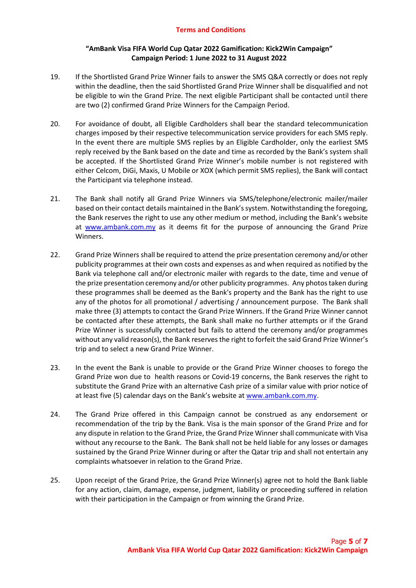## **"AmBank Visa FIFA World Cup Qatar 2022 Gamification: Kick2Win Campaign" Campaign Period: 1 June 2022 to 31 August 2022**

- 19. If the Shortlisted Grand Prize Winner fails to answer the SMS Q&A correctly or does not reply within the deadline, then the said Shortlisted Grand Prize Winner shall be disqualified and not be eligible to win the Grand Prize. The next eligible Participant shall be contacted until there are two (2) confirmed Grand Prize Winners for the Campaign Period.
- 20. For avoidance of doubt, all Eligible Cardholders shall bear the standard telecommunication charges imposed by their respective telecommunication service providers for each SMS reply. In the event there are multiple SMS replies by an Eligible Cardholder, only the earliest SMS reply received by the Bank based on the date and time as recorded by the Bank's system shall be accepted. If the Shortlisted Grand Prize Winner's mobile number is not registered with either Celcom, DiGi, Maxis, U Mobile or XOX (which permit SMS replies), the Bank will contact the Participant via telephone instead.
- 21. The Bank shall notify all Grand Prize Winners via SMS/telephone/electronic mailer/mailer based on their contact details maintained in the Bank's system. Notwithstanding the foregoing, the Bank reserves the right to use any other medium or method, including the Bank's website at [www.ambank.com.my](http://www.ambank.com.my/) as it deems fit for the purpose of announcing the Grand Prize Winners.
- 22. Grand Prize Winners shall be required to attend the prize presentation ceremony and/or other publicity programmes at their own costs and expenses as and when required as notified by the Bank via telephone call and/or electronic mailer with regards to the date, time and venue of the prize presentation ceremony and/or other publicity programmes. Any photos taken during these programmes shall be deemed as the Bank's property and the Bank has the right to use any of the photos for all promotional / advertising / announcement purpose. The Bank shall make three (3) attempts to contact the Grand Prize Winners. If the Grand Prize Winner cannot be contacted after these attempts, the Bank shall make no further attempts or if the Grand Prize Winner is successfully contacted but fails to attend the ceremony and/or programmes without any valid reason(s), the Bank reserves the right to forfeit the said Grand Prize Winner's trip and to select a new Grand Prize Winner.
- 23. In the event the Bank is unable to provide or the Grand Prize Winner chooses to forego the Grand Prize won due to health reasons or Covid-19 concerns, the Bank reserves the right to substitute the Grand Prize with an alternative Cash prize of a similar value with prior notice of at least five (5) calendar days on the Bank's website at [www.ambank.com.my.](http://www.ambank.com.my/)
- 24. The Grand Prize offered in this Campaign cannot be construed as any endorsement or recommendation of the trip by the Bank. Visa is the main sponsor of the Grand Prize and for any dispute in relation to the Grand Prize, the Grand Prize Winner shall communicate with Visa without any recourse to the Bank. The Bank shall not be held liable for any losses or damages sustained by the Grand Prize Winner during or after the Qatar trip and shall not entertain any complaints whatsoever in relation to the Grand Prize.
- 25. Upon receipt of the Grand Prize, the Grand Prize Winner(s) agree not to hold the Bank liable for any action, claim, damage, expense, judgment, liability or proceeding suffered in relation with their participation in the Campaign or from winning the Grand Prize.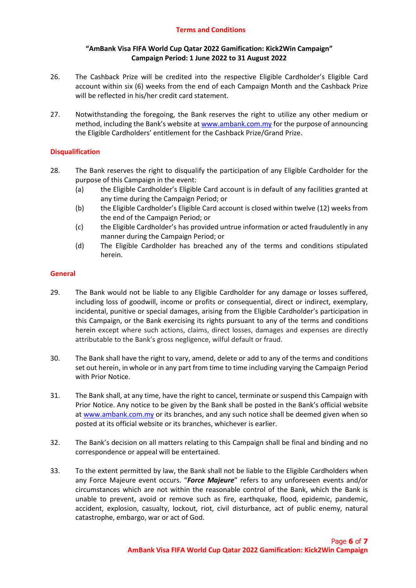## **"AmBank Visa FIFA World Cup Qatar 2022 Gamification: Kick2Win Campaign" Campaign Period: 1 June 2022 to 31 August 2022**

- 26. The Cashback Prize will be credited into the respective Eligible Cardholder's Eligible Card account within six (6) weeks from the end of each Campaign Month and the Cashback Prize will be reflected in his/her credit card statement.
- 27. Notwithstanding the foregoing, the Bank reserves the right to utilize any other medium or method, including the Bank's website a[t www.ambank.com.my](http://www.ambank.com.my/) for the purpose of announcing the Eligible Cardholders' entitlement for the Cashback Prize/Grand Prize.

# **Disqualification**

- 28. The Bank reserves the right to disqualify the participation of any Eligible Cardholder for the purpose of this Campaign in the event:
	- (a) the Eligible Cardholder's Eligible Card account is in default of any facilities granted at any time during the Campaign Period; or
	- (b) the Eligible Cardholder's Eligible Card account is closed within twelve (12) weeks from the end of the Campaign Period; or
	- (c) the Eligible Cardholder's has provided untrue information or acted fraudulently in any manner during the Campaign Period; or
	- (d) The Eligible Cardholder has breached any of the terms and conditions stipulated herein.

#### **General**

- 29. The Bank would not be liable to any Eligible Cardholder for any damage or losses suffered, including loss of goodwill, income or profits or consequential, direct or indirect, exemplary, incidental, punitive or special damages, arising from the Eligible Cardholder's participation in this Campaign, or the Bank exercising its rights pursuant to any of the terms and conditions herein except where such actions, claims, direct losses, damages and expenses are directly attributable to the Bank's gross negligence, wilful default or fraud.
- 30. The Bank shall have the right to vary, amend, delete or add to any of the terms and conditions set out herein, in whole or in any part from time to time including varying the Campaign Period with Prior Notice.
- 31. The Bank shall, at any time, have the right to cancel, terminate or suspend this Campaign with Prior Notice. Any notice to be given by the Bank shall be posted in the Bank's official website a[t www.ambank.com.my](http://www.ambank.com.my/) or its branches, and any such notice shall be deemed given when so posted at its official website or its branches, whichever is earlier.
- 32. The Bank's decision on all matters relating to this Campaign shall be final and binding and no correspondence or appeal will be entertained.
- 33. To the extent permitted by law, the Bank shall not be liable to the Eligible Cardholders when any Force Majeure event occurs. "*Force Majeure*" refers to any unforeseen events and/or circumstances which are not within the reasonable control of the Bank, which the Bank is unable to prevent, avoid or remove such as fire, earthquake, flood, epidemic, pandemic, accident, explosion, casualty, lockout, riot, civil disturbance, act of public enemy, natural catastrophe, embargo, war or act of God.